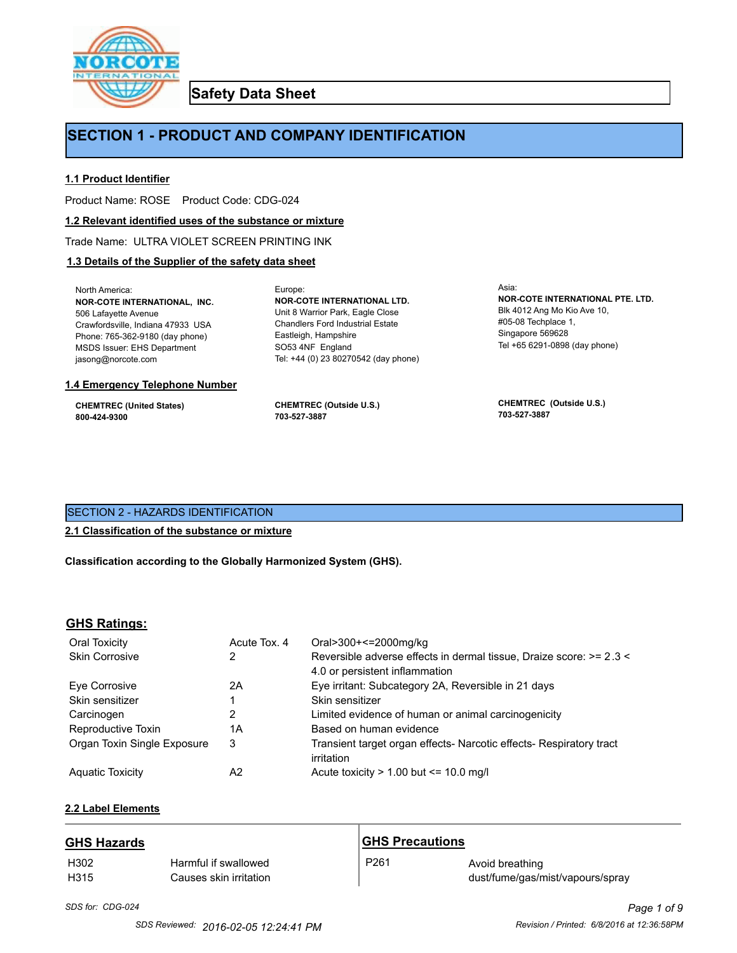

**Safety Data Sheet**

# **SECTION 1 - PRODUCT AND COMPANY IDENTIFICATION**

Europe:

## **1.1 Product Identifier**

Product Name: ROSE Product Code: CDG-024

#### **1.2 Relevant identified uses of the substance or mixture**

Trade Name: ULTRA VIOLET SCREEN PRINTING INK

# **1.3 Details of the Supplier of the safety data sheet**

North America: **NOR-COTE INTERNATIONAL, INC.** 506 Lafayette Avenue Crawfordsville, Indiana 47933 USA Phone: 765-362-9180 (day phone) MSDS Issuer: EHS Department jasong@norcote.com

#### **1.4 Emergency Telephone Number**

**CHEMTREC (United States) 800-424-9300**

**CHEMTREC (Outside U.S.) 703-527-3887**

Eastleigh, Hampshire SO53 4NF England

**NOR-COTE INTERNATIONAL LTD.** Unit 8 Warrior Park, Eagle Close Chandlers Ford Industrial Estate

Tel: +44 (0) 23 80270542 (day phone)

Asia: **NOR-COTE INTERNATIONAL PTE. LTD.** Blk 4012 Ang Mo Kio Ave 10, #05-08 Techplace 1, Singapore 569628 Tel +65 6291-0898 (day phone)

**CHEMTREC (Outside U.S.) 703-527-3887**

# SECTION 2 - HAZARDS IDENTIFICATION

## **2.1 Classification of the substance or mixture**

**Classification according to the Globally Harmonized System (GHS).**

### **GHS Ratings:**

| Oral Toxicity               | Acute Tox, 4 | Oral>300+<=2000mg/kg                                                |
|-----------------------------|--------------|---------------------------------------------------------------------|
| <b>Skin Corrosive</b>       | 2            | Reversible adverse effects in dermal tissue, Draize score: >= 2.3 < |
|                             |              | 4.0 or persistent inflammation                                      |
| Eye Corrosive               | 2Α           | Eye irritant: Subcategory 2A, Reversible in 21 days                 |
| Skin sensitizer             |              | Skin sensitizer                                                     |
| Carcinogen                  | 2            | Limited evidence of human or animal carcinogenicity                 |
| Reproductive Toxin          | 1А           | Based on human evidence                                             |
| Organ Toxin Single Exposure | 3            | Transient target organ effects- Narcotic effects- Respiratory tract |
|                             |              | irritation                                                          |
| <b>Aguatic Toxicity</b>     | A2           | Acute toxicity $> 1.00$ but $\leq 10.0$ mg/l                        |

# **2.2 Label Elements**

### **GHS Hazards**

| H302 | Harmful if swallowed   |
|------|------------------------|
| H315 | Causes skin irritation |

# **GHS Precautions**

# P261 Avoid breathing dust/fume/gas/mist/vapours/spray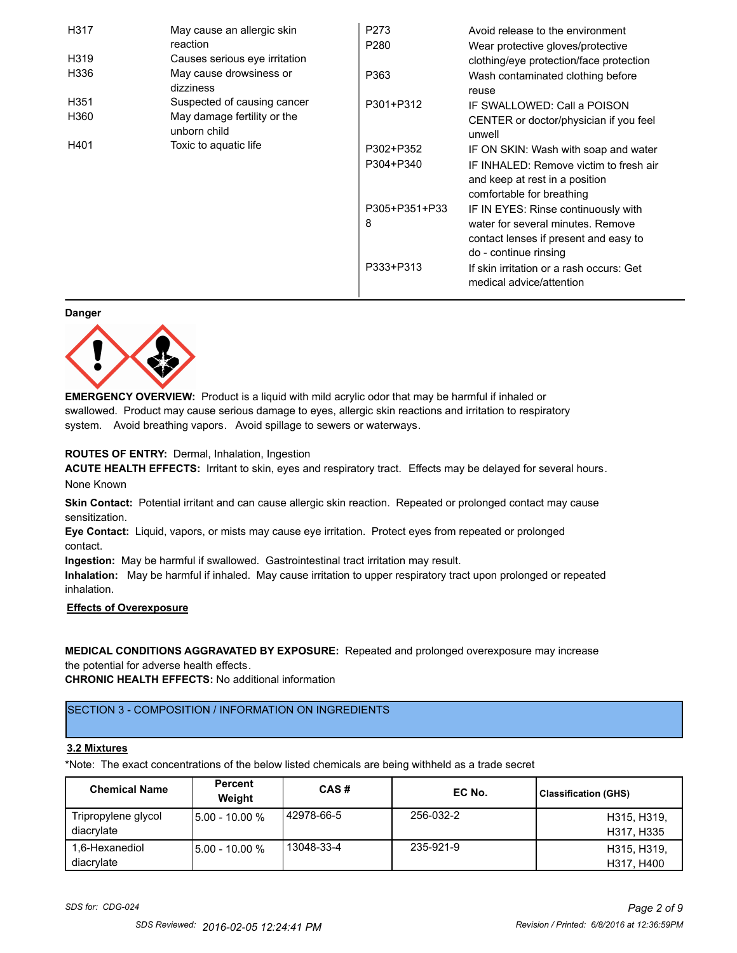| H317                          | May cause an allergic skin                  | P273             | Avoid release to the environment                                                                      |
|-------------------------------|---------------------------------------------|------------------|-------------------------------------------------------------------------------------------------------|
|                               | reaction                                    | P <sub>280</sub> | Wear protective gloves/protective                                                                     |
| H319                          | Causes serious eye irritation               |                  | clothing/eye protection/face protection                                                               |
| H336                          | May cause drowsiness or<br>dizziness        | P363             | Wash contaminated clothing before<br>reuse                                                            |
| H <sub>351</sub>              | Suspected of causing cancer                 | P301+P312        | IF SWALLOWED: Call a POISON                                                                           |
| H360                          | May damage fertility or the<br>unborn child |                  | CENTER or doctor/physician if you feel<br>unwell                                                      |
| H401<br>Toxic to aquatic life |                                             | P302+P352        | IF ON SKIN: Wash with soap and water                                                                  |
|                               |                                             | P304+P340        | IF INHALED: Remove victim to fresh air<br>and keep at rest in a position<br>comfortable for breathing |
|                               |                                             | P305+P351+P33    | IF IN EYES: Rinse continuously with                                                                   |
|                               |                                             | 8                | water for several minutes. Remove<br>contact lenses if present and easy to<br>do - continue rinsing   |
|                               |                                             | P333+P313        | If skin irritation or a rash occurs: Get<br>medical advice/attention                                  |

**Danger**



**EMERGENCY OVERVIEW:** Product is a liquid with mild acrylic odor that may be harmful if inhaled or swallowed. Product may cause serious damage to eyes, allergic skin reactions and irritation to respiratory system. Avoid breathing vapors. Avoid spillage to sewers or waterways.

# **ROUTES OF ENTRY:** Dermal, Inhalation, Ingestion

**ACUTE HEALTH EFFECTS:** Irritant to skin, eyes and respiratory tract. Effects may be delayed for several hours. None Known

**Skin Contact:** Potential irritant and can cause allergic skin reaction. Repeated or prolonged contact may cause sensitization.

**Eye Contact:** Liquid, vapors, or mists may cause eye irritation. Protect eyes from repeated or prolonged contact.

**Ingestion:** May be harmful if swallowed. Gastrointestinal tract irritation may result.

**Inhalation:** May be harmful if inhaled. May cause irritation to upper respiratory tract upon prolonged or repeated inhalation.

### **Effects of Overexposure**

# **MEDICAL CONDITIONS AGGRAVATED BY EXPOSURE:** Repeated and prolonged overexposure may increase

the potential for adverse health effects.

**CHRONIC HEALTH EFFECTS:** No additional information

# SECTION 3 - COMPOSITION / INFORMATION ON INGREDIENTS

### **3.2 Mixtures**

\*Note: The exact concentrations of the below listed chemicals are being withheld as a trade secret

| <b>Chemical Name</b>              | Percent<br>Weight | CAS#         | EC No.    | <b>Classification (GHS)</b> |
|-----------------------------------|-------------------|--------------|-----------|-----------------------------|
| Tripropylene glycol<br>diacrylate | $15.00 - 10.00 %$ | l 42978-66-5 | 256-032-2 | H315, H319,<br>H317, H335   |
| 1,6-Hexanediol<br>diacrylate      | $15.00 - 10.00 %$ | 13048-33-4   | 235-921-9 | H315, H319,<br>H317, H400   |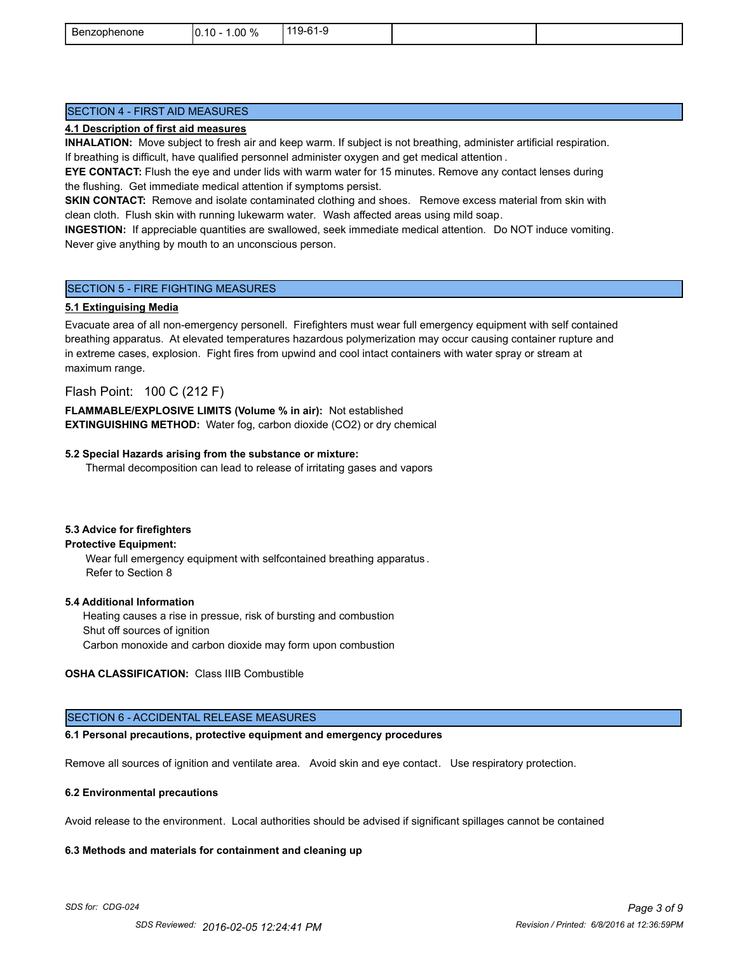| ∽<br>Benzophenone | $.00\%$<br>$.10 -$<br>١r<br>- 70<br>ີ | C <sub>1</sub><br>$119-$<br>.<br>ີ |  |
|-------------------|---------------------------------------|------------------------------------|--|
|                   |                                       |                                    |  |

# SECTION 4 - FIRST AID MEASURES

#### **4.1 Description of first aid measures**

**INHALATION:** Move subject to fresh air and keep warm. If subject is not breathing, administer artificial respiration. If breathing is difficult, have qualified personnel administer oxygen and get medical attention .

**EYE CONTACT:** Flush the eye and under lids with warm water for 15 minutes. Remove any contact lenses during the flushing. Get immediate medical attention if symptoms persist.

**SKIN CONTACT:** Remove and isolate contaminated clothing and shoes. Remove excess material from skin with clean cloth. Flush skin with running lukewarm water. Wash affected areas using mild soap.

**INGESTION:** If appreciable quantities are swallowed, seek immediate medical attention. Do NOT induce vomiting. Never give anything by mouth to an unconscious person.

### SECTION 5 - FIRE FIGHTING MEASURES

#### **5.1 Extinguising Media**

Evacuate area of all non-emergency personell. Firefighters must wear full emergency equipment with self contained breathing apparatus. At elevated temperatures hazardous polymerization may occur causing container rupture and in extreme cases, explosion. Fight fires from upwind and cool intact containers with water spray or stream at maximum range.

# Flash Point: 100 C (212 F)

**FLAMMABLE/EXPLOSIVE LIMITS (Volume % in air):** Not established **EXTINGUISHING METHOD:** Water fog, carbon dioxide (CO2) or dry chemical

#### **5.2 Special Hazards arising from the substance or mixture:**

Thermal decomposition can lead to release of irritating gases and vapors

#### **5.3 Advice for firefighters**

## **Protective Equipment:**

Wear full emergency equipment with selfcontained breathing apparatus . Refer to Section 8

### **5.4 Additional Information**

 Heating causes a rise in pressue, risk of bursting and combustion Shut off sources of ignition Carbon monoxide and carbon dioxide may form upon combustion

# **OSHA CLASSIFICATION:** Class IIIB Combustible

### SECTION 6 - ACCIDENTAL RELEASE MEASURES

#### **6.1 Personal precautions, protective equipment and emergency procedures**

Remove all sources of ignition and ventilate area. Avoid skin and eye contact. Use respiratory protection.

#### **6.2 Environmental precautions**

Avoid release to the environment. Local authorities should be advised if significant spillages cannot be contained

#### **6.3 Methods and materials for containment and cleaning up**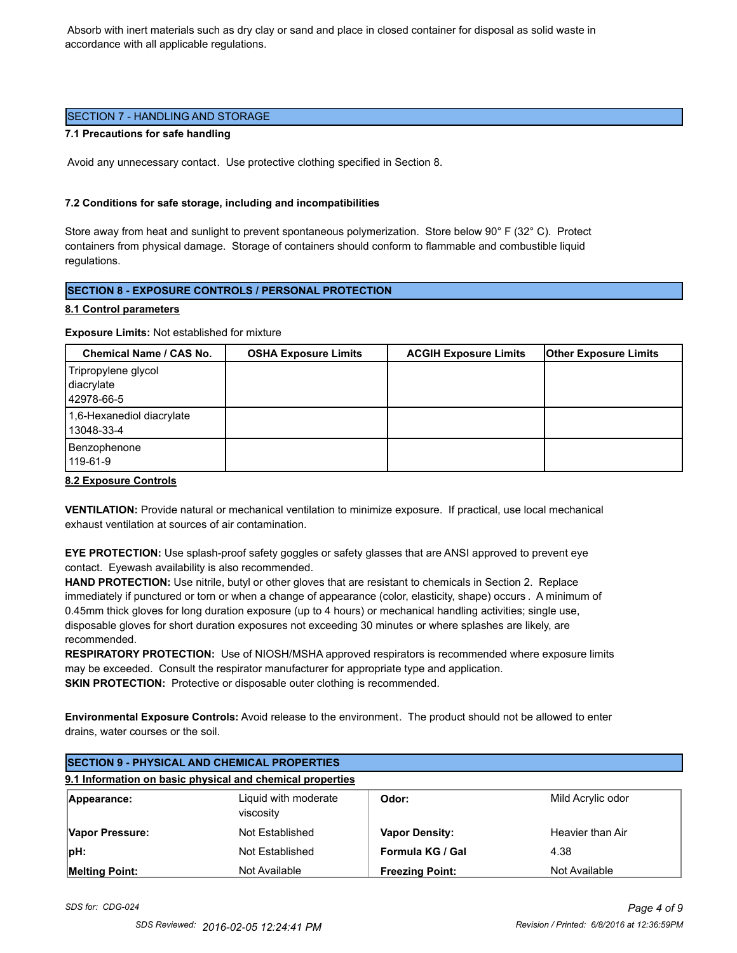Absorb with inert materials such as dry clay or sand and place in closed container for disposal as solid waste in accordance with all applicable regulations.

## SECTION 7 - HANDLING AND STORAGE

#### **7.1 Precautions for safe handling**

Avoid any unnecessary contact. Use protective clothing specified in Section 8.

### **7.2 Conditions for safe storage, including and incompatibilities**

Store away from heat and sunlight to prevent spontaneous polymerization. Store below 90° F (32° C). Protect containers from physical damage. Storage of containers should conform to flammable and combustible liquid regulations.

# **SECTION 8 - EXPOSURE CONTROLS / PERSONAL PROTECTION**

# **8.1 Control parameters**

**Exposure Limits:** Not established for mixture

| <b>Chemical Name / CAS No.</b>                  | <b>OSHA Exposure Limits</b> | <b>ACGIH Exposure Limits</b> | <b>Other Exposure Limits</b> |
|-------------------------------------------------|-----------------------------|------------------------------|------------------------------|
| Tripropylene glycol<br>diacrylate<br>42978-66-5 |                             |                              |                              |
| 1,6-Hexanediol diacrylate<br>l 13048-33-4       |                             |                              |                              |
| Benzophenone<br>119-61-9                        |                             |                              |                              |

### **8.2 Exposure Controls**

**VENTILATION:** Provide natural or mechanical ventilation to minimize exposure. If practical, use local mechanical exhaust ventilation at sources of air contamination.

**EYE PROTECTION:** Use splash-proof safety goggles or safety glasses that are ANSI approved to prevent eye contact. Eyewash availability is also recommended.

**HAND PROTECTION:** Use nitrile, butyl or other gloves that are resistant to chemicals in Section 2. Replace immediately if punctured or torn or when a change of appearance (color, elasticity, shape) occurs . A minimum of 0.45mm thick gloves for long duration exposure (up to 4 hours) or mechanical handling activities; single use, disposable gloves for short duration exposures not exceeding 30 minutes or where splashes are likely, are recommended.

**RESPIRATORY PROTECTION:** Use of NIOSH/MSHA approved respirators is recommended where exposure limits may be exceeded. Consult the respirator manufacturer for appropriate type and application. **SKIN PROTECTION:** Protective or disposable outer clothing is recommended.

**Environmental Exposure Controls:** Avoid release to the environment. The product should not be allowed to enter drains, water courses or the soil.

| <b>SECTION 9 - PHYSICAL AND CHEMICAL PROPERTIES</b> |                                                           |                        |                   |  |
|-----------------------------------------------------|-----------------------------------------------------------|------------------------|-------------------|--|
|                                                     | 9.1 Information on basic physical and chemical properties |                        |                   |  |
| Appearance:                                         | Liquid with moderate<br>viscosity                         | Odor:                  | Mild Acrylic odor |  |
| Vapor Pressure:                                     | Not Established                                           | <b>Vapor Density:</b>  | Heavier than Air  |  |
| $ pH$ :                                             | Not Established                                           | Formula KG / Gal       | 4.38              |  |
| <b>Melting Point:</b>                               | Not Available                                             | <b>Freezing Point:</b> | Not Available     |  |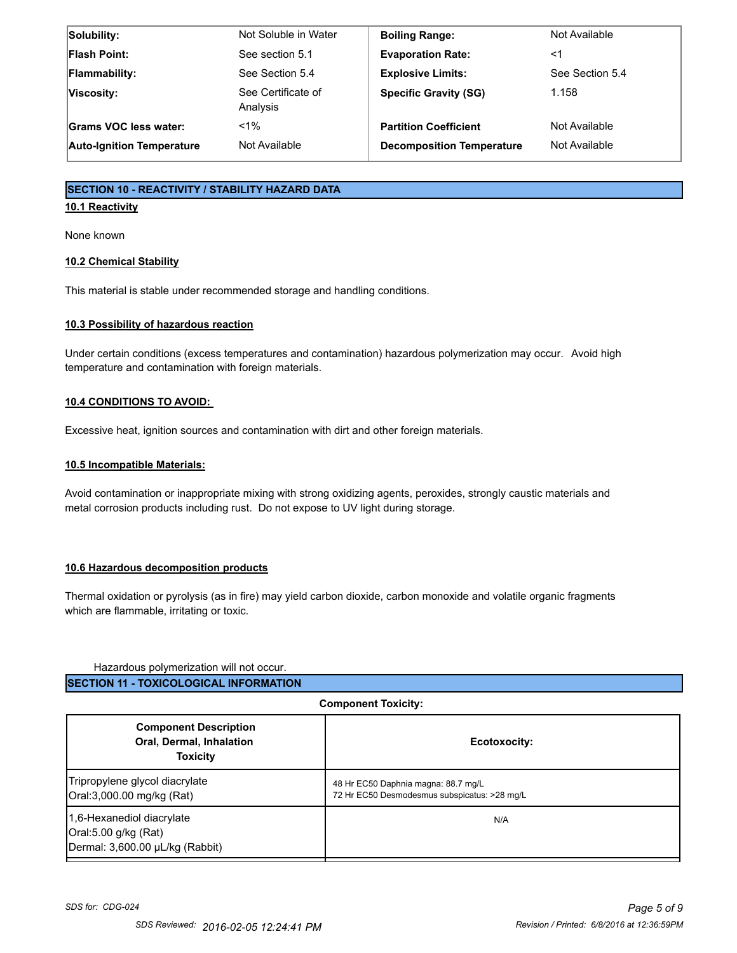| Not Soluble in Water           | <b>Boiling Range:</b>            | Not Available   |
|--------------------------------|----------------------------------|-----------------|
| See section 5.1                | <b>Evaporation Rate:</b>         | <1              |
| See Section 5.4                | <b>Explosive Limits:</b>         | See Section 5.4 |
| See Certificate of<br>Analysis | <b>Specific Gravity (SG)</b>     | 1.158           |
| $< 1\%$                        | <b>Partition Coefficient</b>     | Not Available   |
| Not Available                  | <b>Decomposition Temperature</b> | Not Available   |
|                                |                                  |                 |

# **SECTION 10 - REACTIVITY / STABILITY HAZARD DATA**

# **10.1 Reactivity**

None known

# **10.2 Chemical Stability**

This material is stable under recommended storage and handling conditions.

# **10.3 Possibility of hazardous reaction**

Under certain conditions (excess temperatures and contamination) hazardous polymerization may occur. Avoid high temperature and contamination with foreign materials.

# **10.4 CONDITIONS TO AVOID:**

Excessive heat, ignition sources and contamination with dirt and other foreign materials.

# **10.5 Incompatible Materials:**

Avoid contamination or inappropriate mixing with strong oxidizing agents, peroxides, strongly caustic materials and metal corrosion products including rust. Do not expose to UV light during storage.

### **10.6 Hazardous decomposition products**

Thermal oxidation or pyrolysis (as in fire) may yield carbon dioxide, carbon monoxide and volatile organic fragments which are flammable, irritating or toxic.

## Hazardous polymerization will not occur.

**SECTION 11 - TOXICOLOGICAL INFORMATION**

| Component Toxicity:                                                                  |                                                                                     |  |
|--------------------------------------------------------------------------------------|-------------------------------------------------------------------------------------|--|
| <b>Component Description</b><br><b>Oral, Dermal, Inhalation</b><br><b>Toxicity</b>   | Ecotoxocity:                                                                        |  |
| Tripropylene glycol diacrylate<br>Oral:3,000.00 mg/kg (Rat)                          | 48 Hr EC50 Daphnia magna: 88.7 mg/L<br>72 Hr EC50 Desmodesmus subspicatus: >28 mg/L |  |
| 1,6-Hexanediol diacrylate<br>Oral:5.00 g/kg (Rat)<br>Dermal: 3,600.00 µL/kg (Rabbit) | N/A                                                                                 |  |

**Component Toxicity:**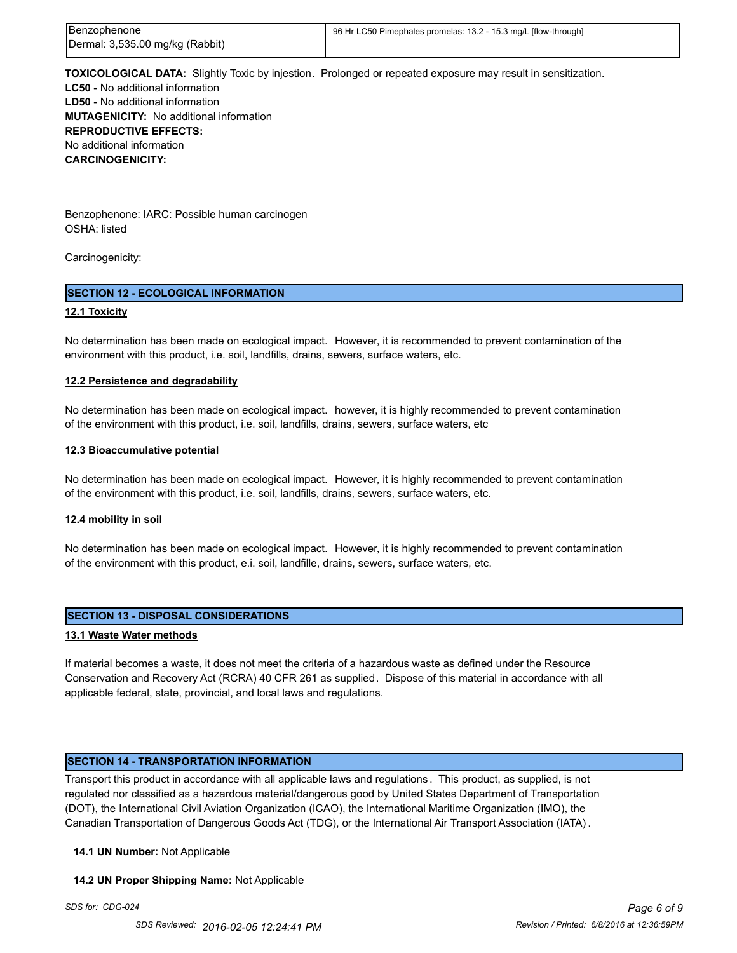| Benzophenone                    | 96 Hr LC50 Pimephales promelas: 13.2 - 15.3 mg/L [flow-through] |
|---------------------------------|-----------------------------------------------------------------|
| Dermal: 3,535.00 mg/kg (Rabbit) |                                                                 |

**TOXICOLOGICAL DATA:** Slightly Toxic by injestion. Prolonged or repeated exposure may result in sensitization. **LC50** - No additional information **LD50** - No additional information **MUTAGENICITY:** No additional information **REPRODUCTIVE EFFECTS:** No additional information **CARCINOGENICITY:**

Benzophenone: IARC: Possible human carcinogen OSHA: listed

Carcinogenicity:

# **SECTION 12 - ECOLOGICAL INFORMATION**

### **12.1 Toxicity**

No determination has been made on ecological impact. However, it is recommended to prevent contamination of the environment with this product, i.e. soil, landfills, drains, sewers, surface waters, etc.

### **12.2 Persistence and degradability**

No determination has been made on ecological impact. however, it is highly recommended to prevent contamination of the environment with this product, i.e. soil, landfills, drains, sewers, surface waters, etc

#### **12.3 Bioaccumulative potential**

No determination has been made on ecological impact. However, it is highly recommended to prevent contamination of the environment with this product, i.e. soil, landfills, drains, sewers, surface waters, etc.

### **12.4 mobility in soil**

No determination has been made on ecological impact. However, it is highly recommended to prevent contamination of the environment with this product, e.i. soil, landfille, drains, sewers, surface waters, etc.

### **SECTION 13 - DISPOSAL CONSIDERATIONS**

#### **13.1 Waste Water methods**

If material becomes a waste, it does not meet the criteria of a hazardous waste as defined under the Resource Conservation and Recovery Act (RCRA) 40 CFR 261 as supplied. Dispose of this material in accordance with all applicable federal, state, provincial, and local laws and regulations.

### **SECTION 14 - TRANSPORTATION INFORMATION**

Transport this product in accordance with all applicable laws and regulations . This product, as supplied, is not regulated nor classified as a hazardous material/dangerous good by United States Department of Transportation (DOT), the International Civil Aviation Organization (ICAO), the International Maritime Organization (IMO), the Canadian Transportation of Dangerous Goods Act (TDG), or the International Air Transport Association (IATA) .

#### **14.1 UN Number:** Not Applicable

#### **14.2 UN Proper Shipping Name:** Not Applicable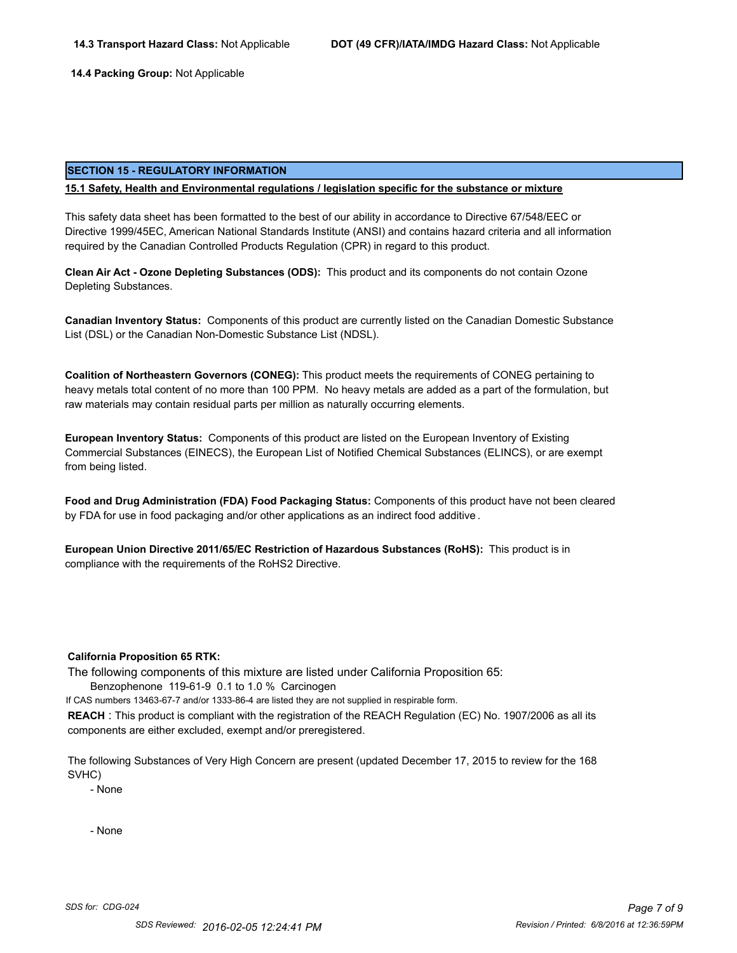**14.4 Packing Group:** Not Applicable

#### **SECTION 15 - REGULATORY INFORMATION**

#### **15.1 Safety, Health and Environmental regulations / legislation specific for the substance or mixture**

This safety data sheet has been formatted to the best of our ability in accordance to Directive 67/548/EEC or Directive 1999/45EC, American National Standards Institute (ANSI) and contains hazard criteria and all information required by the Canadian Controlled Products Regulation (CPR) in regard to this product.

**Clean Air Act - Ozone Depleting Substances (ODS):** This product and its components do not contain Ozone Depleting Substances.

**Canadian Inventory Status:** Components of this product are currently listed on the Canadian Domestic Substance List (DSL) or the Canadian Non-Domestic Substance List (NDSL).

**Coalition of Northeastern Governors (CONEG):** This product meets the requirements of CONEG pertaining to heavy metals total content of no more than 100 PPM. No heavy metals are added as a part of the formulation, but raw materials may contain residual parts per million as naturally occurring elements.

**European Inventory Status:** Components of this product are listed on the European Inventory of Existing Commercial Substances (EINECS), the European List of Notified Chemical Substances (ELINCS), or are exempt from being listed.

**Food and Drug Administration (FDA) Food Packaging Status:** Components of this product have not been cleared by FDA for use in food packaging and/or other applications as an indirect food additive .

**European Union Directive 2011/65/EC Restriction of Hazardous Substances (RoHS):** This product is in compliance with the requirements of the RoHS2 Directive.

#### **California Proposition 65 RTK:**

The following components of this mixture are listed under California Proposition 65:

Benzophenone 119-61-9 0.1 to 1.0 % Carcinogen

If CAS numbers 13463-67-7 and/or 1333-86-4 are listed they are not supplied in respirable form.

**REACH** : This product is compliant with the registration of the REACH Regulation (EC) No. 1907/2006 as all its components are either excluded, exempt and/or preregistered.

The following Substances of Very High Concern are present (updated December 17, 2015 to review for the 168 SVHC)

- None

- None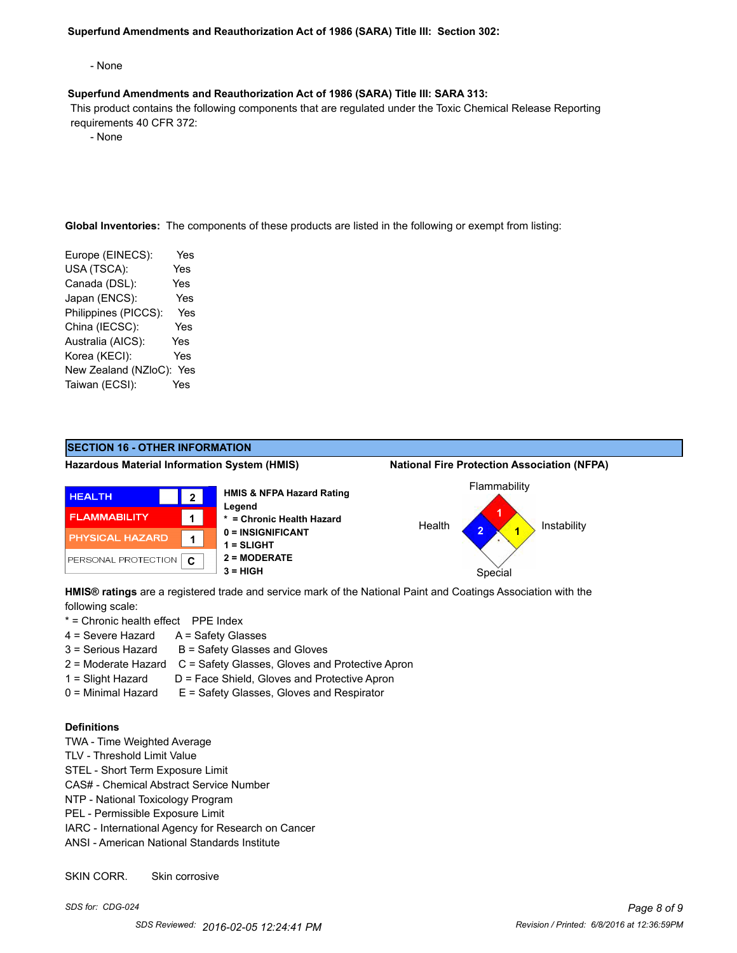#### **Superfund Amendments and Reauthorization Act of 1986 (SARA) Title III: Section 302:**

- None

#### **Superfund Amendments and Reauthorization Act of 1986 (SARA) Title III: SARA 313:**

 This product contains the following components that are regulated under the Toxic Chemical Release Reporting requirements 40 CFR 372:

- None

**Global Inventories:** The components of these products are listed in the following or exempt from listing:

Europe (EINECS): Yes USA (TSCA): Yes Canada (DSL): Yes Japan (ENCS): Yes Philippines (PICCS): Yes China (IECSC): Yes Australia (AICS): Yes Korea (KECI): Yes New Zealand (NZloC): Yes Taiwan (ECSI): Yes



**HMIS® ratings** are a registered trade and service mark of the National Paint and Coatings Association with the following scale:

- \* = Chronic health effect PPE Index
- 4 = Severe Hazard A = Safety Glasses
- $3 =$  Serious Hazard  $B =$  Safety Glasses and Gloves
- 2 = Moderate Hazard C = Safety Glasses, Gloves and Protective Apron
- 
- 1 = Slight Hazard D = Face Shield, Gloves and Protective Apron
- $0 =$  Minimal Hazard  $E =$  Safety Glasses, Gloves and Respirator

## **Definitions**

- TWA Time Weighted Average
- TLV Threshold Limit Value
- STEL Short Term Exposure Limit
- CAS# Chemical Abstract Service Number
- NTP National Toxicology Program
- PEL Permissible Exposure Limit
- IARC International Agency for Research on Cancer
- ANSI American National Standards Institute

SKIN CORR. Skin corrosive